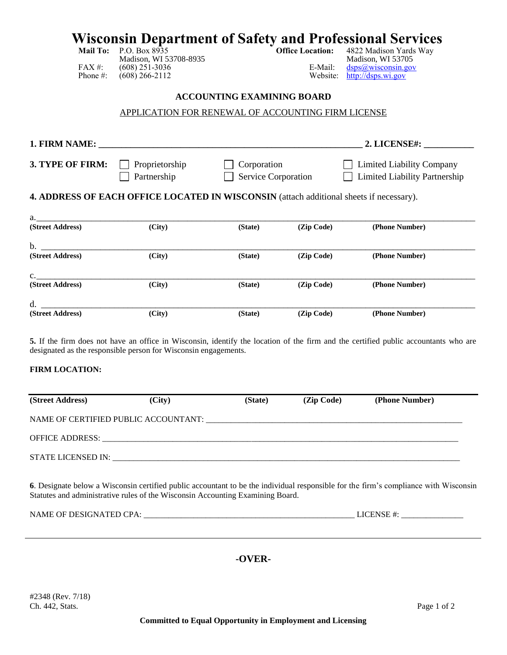# **Wisconsin Department of Safety and Professional Services**<br>Mail To: P.O. Box 8935<br>Office Location: 4822 Madison Yards Way

Madison, WI 53708-8935<br>(608) 251-3036 E-Mail: FAX #: (608) 251-3036<br>
Phone #: (608) 266-2112<br>
Website: http://dsps.wi.gov

4822 Madison Yards Way<br>Madison, WI 53705  $http://dsps.wi.gov$ </u>

#### **ACCOUNTING EXAMINING BOARD**

### APPLICATION FOR RENEWAL OF ACCOUNTING FIRM LICENSE

| 1. FIRM NAME:          |                                                                                         |                                    |            | 2. LICENSE#:                                                             |  |
|------------------------|-----------------------------------------------------------------------------------------|------------------------------------|------------|--------------------------------------------------------------------------|--|
| 3. TYPE OF FIRM:       | Proprietorship<br>Partnership                                                           | Corporation<br>Service Corporation |            | <b>Limited Liability Company</b><br><b>Limited Liability Partnership</b> |  |
|                        | 4. ADDRESS OF EACH OFFICE LOCATED IN WISCONSIN (attach additional sheets if necessary). |                                    |            |                                                                          |  |
| a.<br>(Street Address) | (City)                                                                                  | (State)                            | (Zip Code) | (Phone Number)                                                           |  |
| b.                     |                                                                                         |                                    |            |                                                                          |  |
| (Street Address)       | (City)                                                                                  | (State)                            | (Zip Code) | (Phone Number)                                                           |  |
| $\mathbf{C}$ .         |                                                                                         |                                    |            |                                                                          |  |
| (Street Address)       | (City)                                                                                  | (State)                            | (Zip Code) | (Phone Number)                                                           |  |
| d.                     |                                                                                         |                                    |            |                                                                          |  |
| (Street Address)       | (City)                                                                                  | (State)                            | (Zip Code) | (Phone Number)                                                           |  |

**5.** If the firm does not have an office in Wisconsin, identify the location of the firm and the certified public accountants who are designated as the responsible person for Wisconsin engagements.

#### **FIRM LOCATION:**

| (Street Address)                                                                     | (City) | (State) | (Zip Code) | (Phone Number) |  |
|--------------------------------------------------------------------------------------|--------|---------|------------|----------------|--|
| NAME OF CERTIFIED PUBLIC ACCOUNTANT: THE CONSTRUCTED OF CERTIFIED PUBLIC ACCOUNTANT: |        |         |            |                |  |
| <b>OFFICE ADDRESS:</b>                                                               |        |         |            |                |  |
| STATE LICENSED IN:                                                                   |        |         |            |                |  |
|                                                                                      |        |         |            |                |  |

**6**. Designate below a Wisconsin certified public accountant to be the individual responsible for the firm's compliance with Wisconsin Statutes and administrative rules of the Wisconsin Accounting Examining Board.

| NAME OF DESIGNATED CPA: | <b>ICENSE</b> |
|-------------------------|---------------|
|                         |               |

# **-OVER-**